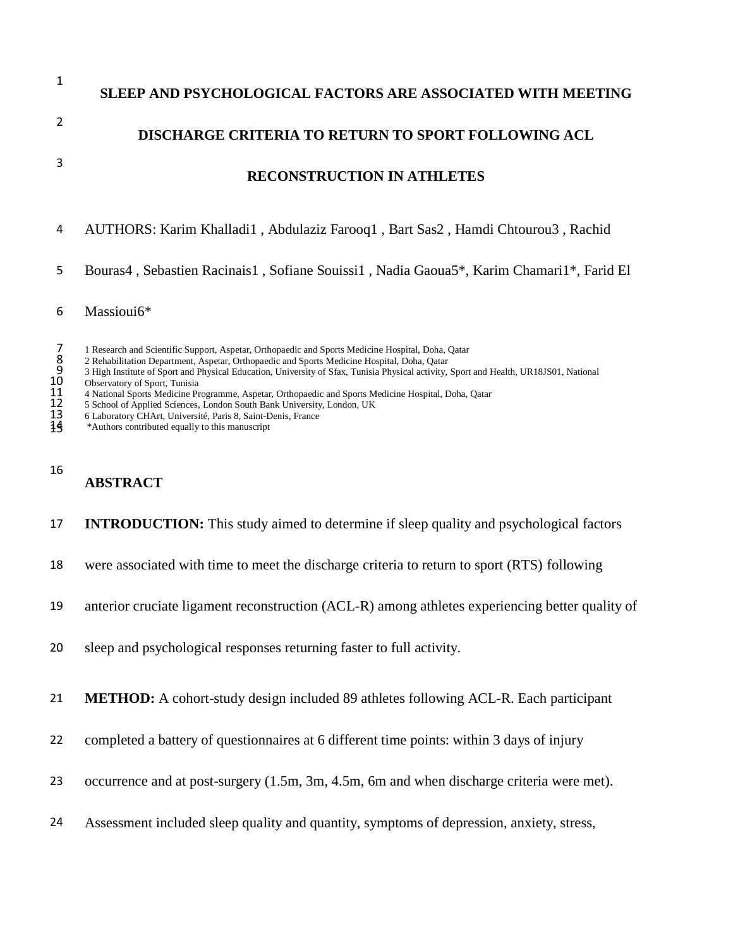|   | SLEEP AND PSYCHOLOGICAL FACTORS ARE ASSOCIATED WITH MEETING                     |
|---|---------------------------------------------------------------------------------|
|   | <b>DISCHARGE CRITERIA TO RETURN TO SPORT FOLLOWING ACL</b>                      |
|   | <b>RECONSTRUCTION IN ATHLETES</b>                                               |
| 4 | AUTHORS: Karim Khalladi1, Abdulaziz Farooq1, Bart Sas2, Hamdi Chtourou3, Rachid |

Bouras4 , Sebastien Racinais1 , Sofiane Souissi1 , Nadia Gaoua5\*, Karim Chamari1\*, Farid El

- Massioui6\*
- 
- 2 Rehabilitation Department, Aspetar, Orthopaedic and Sports Medicine Hospital, Doha, Qatar
- 7 1 Research and Scientific Support, Aspetar, Orthopaedic and Sports Medicine Hospital, Doha, Qatar<br>
2 Rehabilitation Department, Aspetar, Orthopaedic and Sports Medicine Hospital, Doha, Qatar<br>
9 3 High Institute of Sport 3 High Institute of Sport and Physical Education, University of Sfax, Tunisia Physical activity, Sport and Health, UR18JS01, National
- Observatory of Sport, Tunisia
- 4 National Sports Medicine Programme, Aspetar, Orthopaedic and Sports Medicine Hospital, Doha, Qatar
- 5 School of Applied Sciences, London South Bank University, London, UK
- 6 Laboratory CHArt, Université, Paris 8, Saint-Denis, France
- \*Authors contributed equally to this manuscript

#### 

### **ABSTRACT**

- **INTRODUCTION:** This study aimed to determine if sleep quality and psychological factors
- were associated with time to meet the discharge criteria to return to sport (RTS) following
- anterior cruciate ligament reconstruction (ACL-R) among athletes experiencing better quality of
- sleep and psychological responses returning faster to full activity.
- **METHOD:** A cohort-study design included 89 athletes following ACL-R. Each participant
- completed a battery of questionnaires at 6 different time points: within 3 days of injury
- occurrence and at post-surgery (1.5m, 3m, 4.5m, 6m and when discharge criteria were met).
- Assessment included sleep quality and quantity, symptoms of depression, anxiety, stress,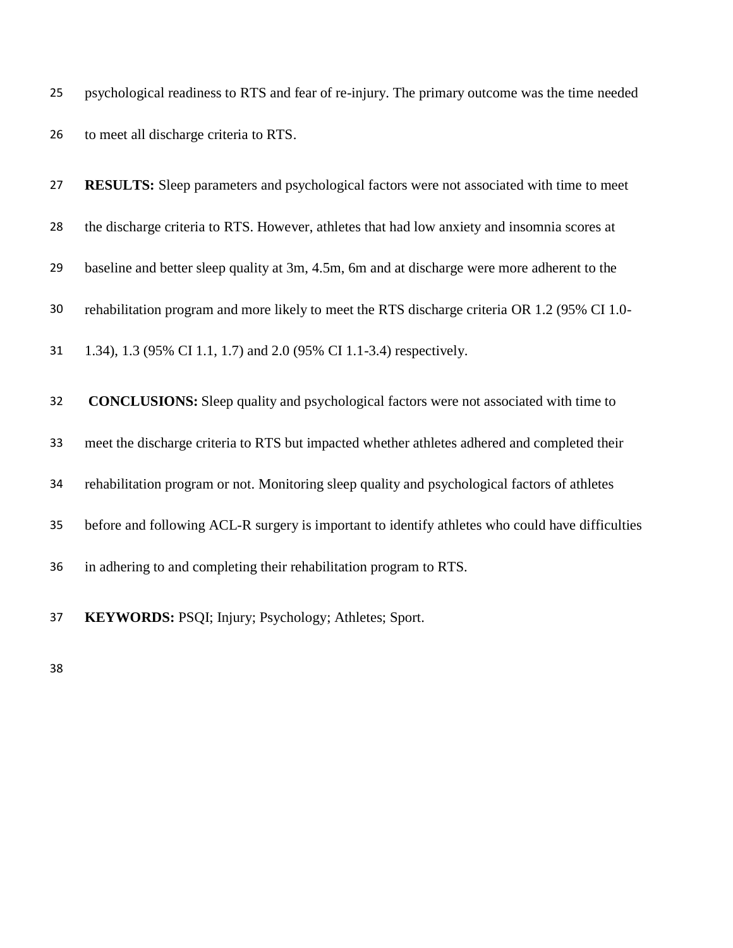|    | 25 psychological readiness to RTS and fear of re-injury. The primary outcome was the time needed |
|----|--------------------------------------------------------------------------------------------------|
|    |                                                                                                  |
| 26 | to meet all discharge criteria to RTS.                                                           |

| 27 | <b>RESULTS:</b> Sleep parameters and psychological factors were not associated with time to meet |
|----|--------------------------------------------------------------------------------------------------|
| 28 | the discharge criteria to RTS. However, athletes that had low anxiety and insomnia scores at     |
| 29 | baseline and better sleep quality at 3m, 4.5m, 6m and at discharge were more adherent to the     |
| 30 | rehabilitation program and more likely to meet the RTS discharge criteria OR 1.2 (95% CI 1.0-    |
| 31 | 1.34), 1.3 (95% CI 1.1, 1.7) and 2.0 (95% CI 1.1-3.4) respectively.                              |
| 32 | <b>CONCLUSIONS:</b> Sleep quality and psychological factors were not associated with time to     |
| 33 | meet the discharge criteria to RTS but impacted whether athletes adhered and completed their     |
| 34 | rehabilitation program or not. Monitoring sleep quality and psychological factors of athletes    |
| 35 | before and following ACL-R surgery is important to identify athletes who could have difficulties |
| 36 | in adhering to and completing their rehabilitation program to RTS.                               |
| 37 | KEYWORDS: PSQI; Injury; Psychology; Athletes; Sport.                                             |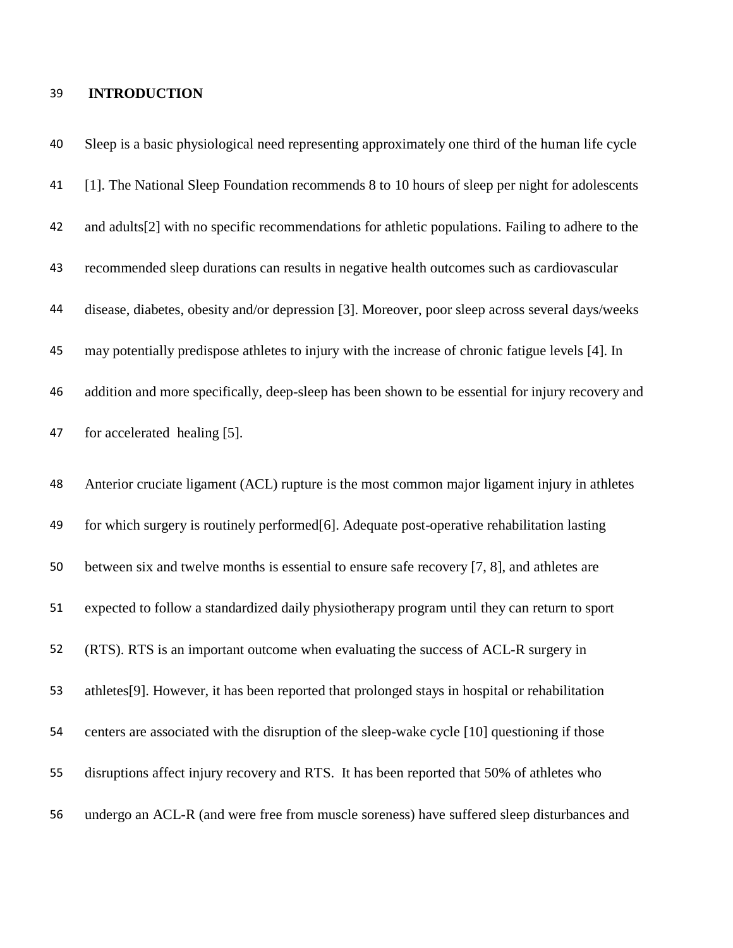#### **INTRODUCTION**

 Sleep is a basic physiological need representing approximately one third of the human life cycle [1]. The National Sleep Foundation recommends 8 to 10 hours of sleep per night for adolescents and adults[2] with no specific recommendations for athletic populations. Failing to adhere to the recommended sleep durations can results in negative health outcomes such as cardiovascular disease, diabetes, obesity and/or depression [3]. Moreover, poor sleep across several days/weeks may potentially predispose athletes to injury with the increase of chronic fatigue levels [4]. In addition and more specifically, deep-sleep has been shown to be essential for injury recovery and for accelerated healing [5]. Anterior cruciate ligament (ACL) rupture is the most common major ligament injury in athletes for which surgery is routinely performed[6]. Adequate post-operative rehabilitation lasting between six and twelve months is essential to ensure safe recovery [7, 8], and athletes are expected to follow a standardized daily physiotherapy program until they can return to sport (RTS). RTS is an important outcome when evaluating the success of ACL-R surgery in athletes[9]. However, it has been reported that prolonged stays in hospital or rehabilitation centers are associated with the disruption of the sleep-wake cycle [10] questioning if those disruptions affect injury recovery and RTS. It has been reported that 50% of athletes who undergo an ACL-R (and were free from muscle soreness) have suffered sleep disturbances and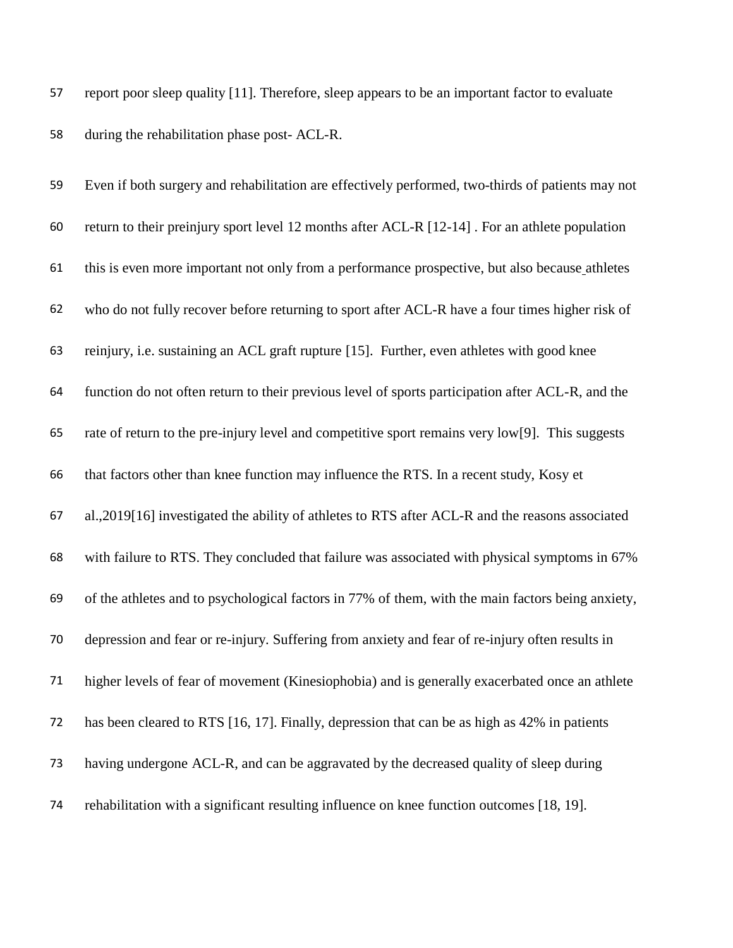report poor sleep quality [11]. Therefore, sleep appears to be an important factor to evaluate during the rehabilitation phase post- ACL-R.

| 59 | Even if both surgery and rehabilitation are effectively performed, two-thirds of patients may not |
|----|---------------------------------------------------------------------------------------------------|
| 60 | return to their preinjury sport level 12 months after ACL-R [12-14]. For an athlete population    |
| 61 | this is even more important not only from a performance prospective, but also because athletes    |
| 62 | who do not fully recover before returning to sport after ACL-R have a four times higher risk of   |
| 63 | reinjury, i.e. sustaining an ACL graft rupture [15]. Further, even athletes with good knee        |
| 64 | function do not often return to their previous level of sports participation after ACL-R, and the |
| 65 | rate of return to the pre-injury level and competitive sport remains very low[9]. This suggests   |
| 66 | that factors other than knee function may influence the RTS. In a recent study, Kosy et           |
| 67 | al., 2019[16] investigated the ability of athletes to RTS after ACL-R and the reasons associated  |
| 68 | with failure to RTS. They concluded that failure was associated with physical symptoms in 67%     |
| 69 | of the athletes and to psychological factors in 77% of them, with the main factors being anxiety, |
| 70 | depression and fear or re-injury. Suffering from anxiety and fear of re-injury often results in   |
| 71 | higher levels of fear of movement (Kinesiophobia) and is generally exacerbated once an athlete    |
| 72 | has been cleared to RTS [16, 17]. Finally, depression that can be as high as 42% in patients      |
| 73 | having undergone ACL-R, and can be aggravated by the decreased quality of sleep during            |
| 74 | rehabilitation with a significant resulting influence on knee function outcomes [18, 19].         |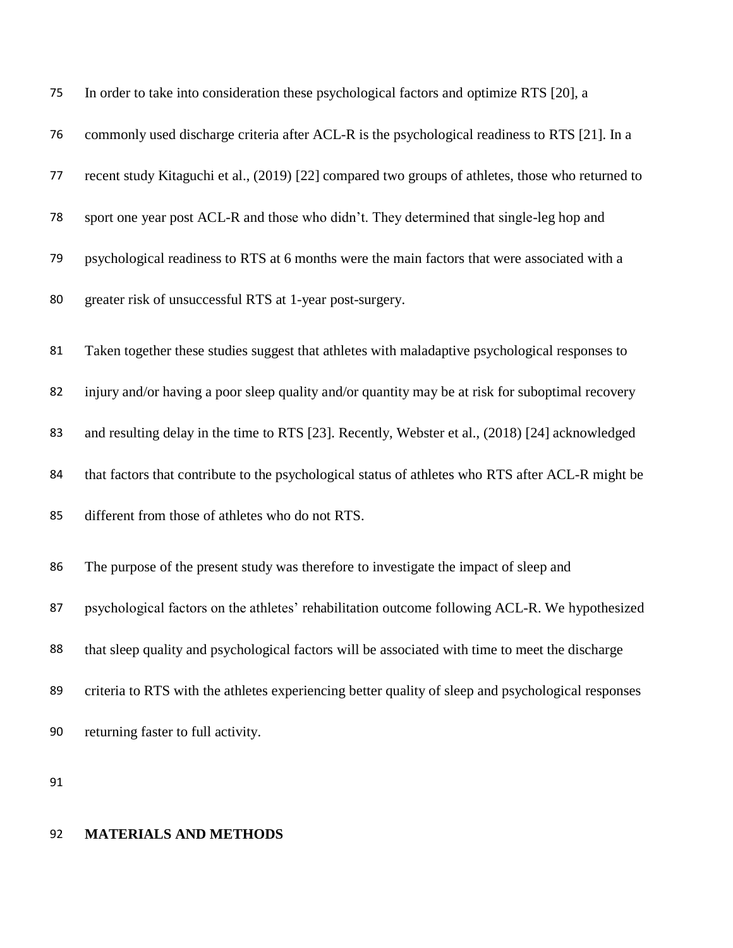| 75 | In order to take into consideration these psychological factors and optimize RTS [20], a           |
|----|----------------------------------------------------------------------------------------------------|
| 76 | commonly used discharge criteria after ACL-R is the psychological readiness to RTS [21]. In a      |
| 77 | recent study Kitaguchi et al., (2019) [22] compared two groups of athletes, those who returned to  |
| 78 | sport one year post ACL-R and those who didn't. They determined that single-leg hop and            |
| 79 | psychological readiness to RTS at 6 months were the main factors that were associated with a       |
| 80 | greater risk of unsuccessful RTS at 1-year post-surgery.                                           |
| 81 | Taken together these studies suggest that athletes with maladaptive psychological responses to     |
| 82 | injury and/or having a poor sleep quality and/or quantity may be at risk for suboptimal recovery   |
| 83 | and resulting delay in the time to RTS [23]. Recently, Webster et al., (2018) [24] acknowledged    |
| 84 | that factors that contribute to the psychological status of athletes who RTS after ACL-R might be  |
| 85 | different from those of athletes who do not RTS.                                                   |
| 86 | The purpose of the present study was therefore to investigate the impact of sleep and              |
| 87 | psychological factors on the athletes' rehabilitation outcome following ACL-R. We hypothesized     |
| 88 | that sleep quality and psychological factors will be associated with time to meet the discharge    |
| 89 | criteria to RTS with the athletes experiencing better quality of sleep and psychological responses |
| 90 | returning faster to full activity.                                                                 |

## **MATERIALS AND METHODS**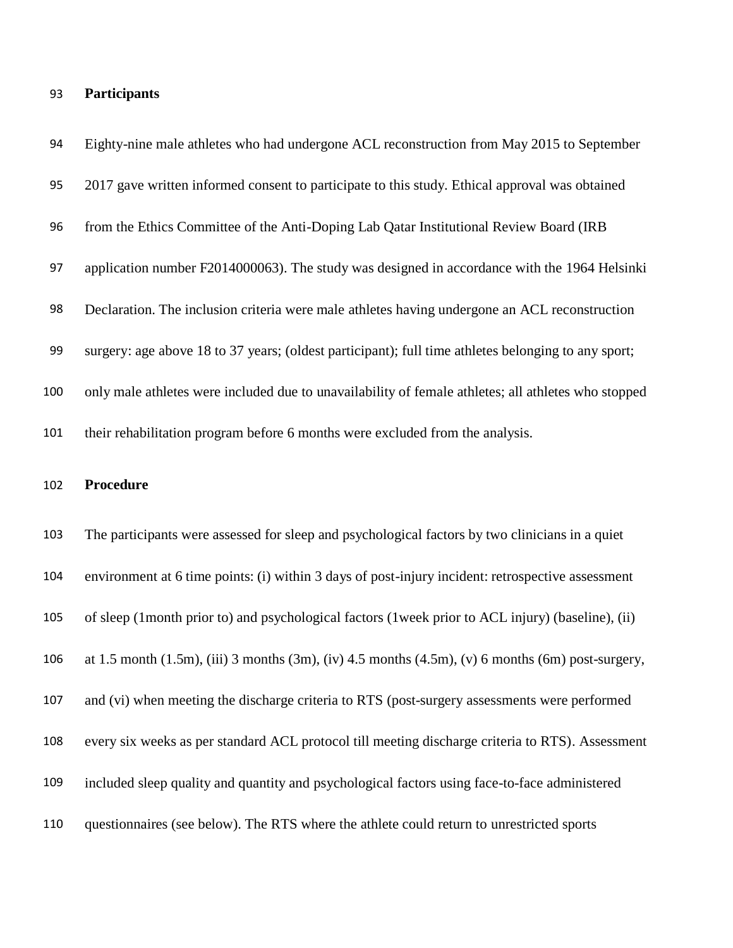# **Participants**

| 94  | Eighty-nine male athletes who had undergone ACL reconstruction from May 2015 to September                          |
|-----|--------------------------------------------------------------------------------------------------------------------|
| 95  | 2017 gave written informed consent to participate to this study. Ethical approval was obtained                     |
| 96  | from the Ethics Committee of the Anti-Doping Lab Qatar Institutional Review Board (IRB                             |
| 97  | application number F2014000063). The study was designed in accordance with the 1964 Helsinki                       |
| 98  | Declaration. The inclusion criteria were male athletes having undergone an ACL reconstruction                      |
| 99  | surgery: age above 18 to 37 years; (oldest participant); full time athletes belonging to any sport;                |
| 100 | only male athletes were included due to unavailability of female athletes; all athletes who stopped                |
| 101 | their rehabilitation program before 6 months were excluded from the analysis.                                      |
|     |                                                                                                                    |
| 102 | <b>Procedure</b>                                                                                                   |
| 103 | The participants were assessed for sleep and psychological factors by two clinicians in a quiet                    |
| 104 | environment at 6 time points: (i) within 3 days of post-injury incident: retrospective assessment                  |
| 105 | of sleep (1month prior to) and psychological factors (1week prior to ACL injury) (baseline), (ii)                  |
| 106 | at 1.5 month $(1.5m)$ , $(iii)$ 3 months $(3m)$ , $(iv)$ 4.5 months $(4.5m)$ , $(v)$ 6 months $(6m)$ post-surgery, |
| 107 | and (vi) when meeting the discharge criteria to RTS (post-surgery assessments were performed                       |
| 108 | every six weeks as per standard ACL protocol till meeting discharge criteria to RTS). Assessment                   |
| 109 | included sleep quality and quantity and psychological factors using face-to-face administered                      |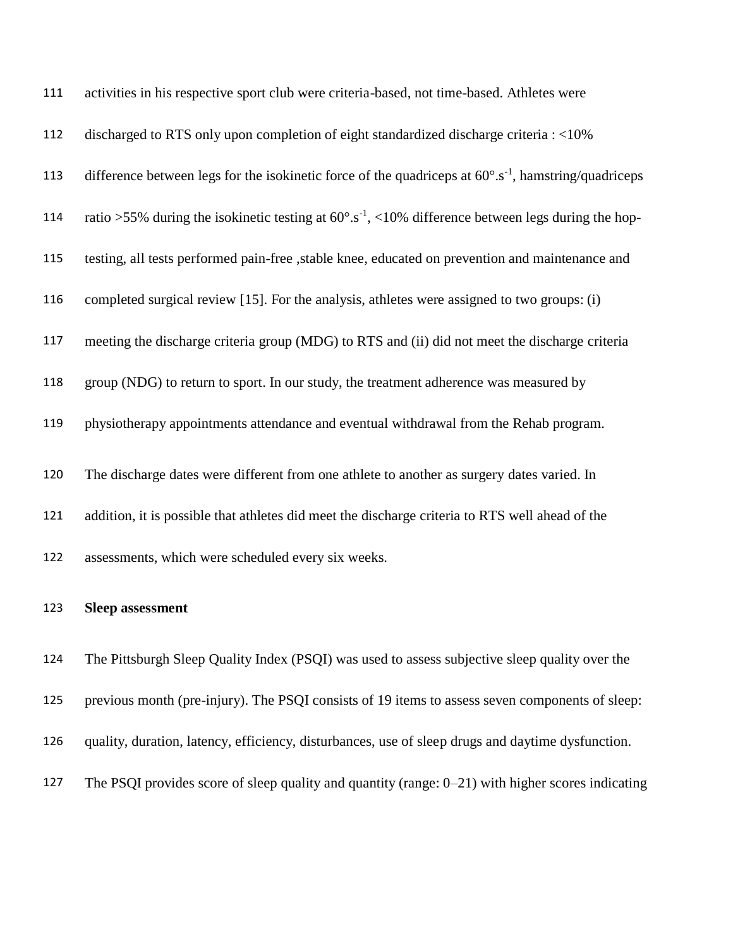| 111 | activities in his respective sport club were criteria-based, not time-based. Athletes were                       |
|-----|------------------------------------------------------------------------------------------------------------------|
| 112 | discharged to RTS only upon completion of eight standardized discharge criteria : <10%                           |
| 113 | difference between legs for the isokinetic force of the quadriceps at $60^{\circ}.s^{-1}$ , hamstring/quadriceps |
| 114 | ratio >55% during the isokinetic testing at $60^{\circ}.s^{-1}$ , <10% difference between legs during the hop-   |
| 115 | testing, all tests performed pain-free , stable knee, educated on prevention and maintenance and                 |
| 116 | completed surgical review [15]. For the analysis, athletes were assigned to two groups: (i)                      |
| 117 | meeting the discharge criteria group (MDG) to RTS and (ii) did not meet the discharge criteria                   |
| 118 | group (NDG) to return to sport. In our study, the treatment adherence was measured by                            |
| 119 | physiotherapy appointments attendance and eventual withdrawal from the Rehab program.                            |
| 120 | The discharge dates were different from one athlete to another as surgery dates varied. In                       |
| 121 | addition, it is possible that athletes did meet the discharge criteria to RTS well ahead of the                  |
| 122 | assessments, which were scheduled every six weeks.                                                               |
|     |                                                                                                                  |
| 123 | <b>Sleep assessment</b>                                                                                          |
| 124 | The Pittsburgh Sleep Quality Index (PSQI) was used to assess subjective sleep quality over the                   |
| 125 | previous month (pre-injury). The PSQI consists of 19 items to assess seven components of sleep:                  |
| 126 | quality, duration, latency, efficiency, disturbances, use of sleep drugs and daytime dysfunction.                |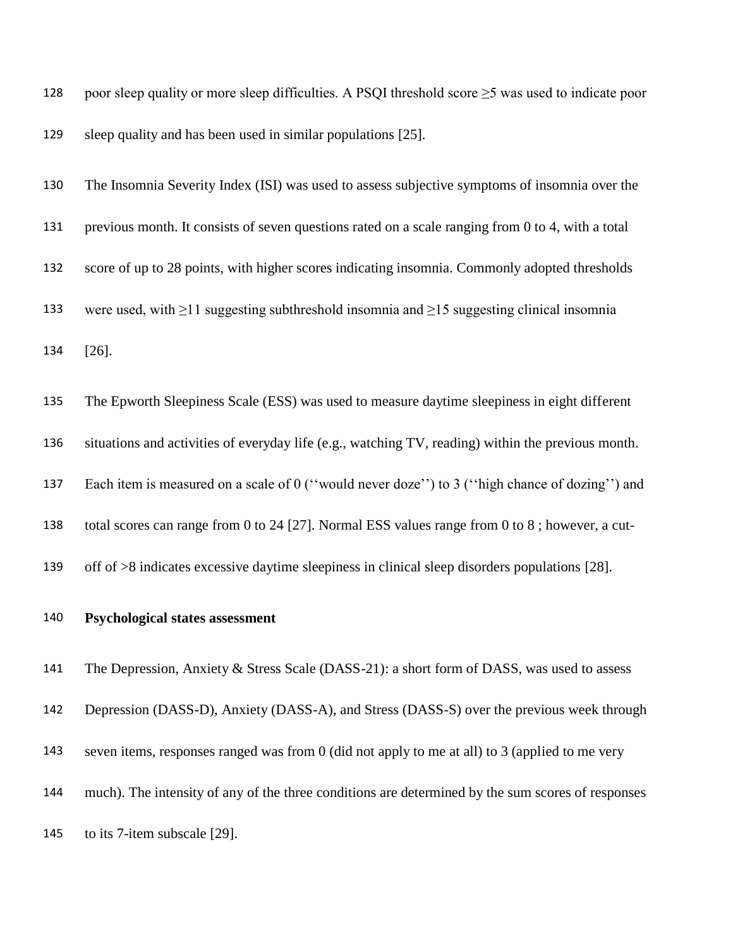| 128 | poor sleep quality or more sleep difficulties. A PSQI threshold score $\geq$ 5 was used to indicate poor |
|-----|----------------------------------------------------------------------------------------------------------|
| 129 | sleep quality and has been used in similar populations [25].                                             |

 The Insomnia Severity Index (ISI) was used to assess subjective symptoms of insomnia over the previous month. It consists of seven questions rated on a scale ranging from 0 to 4, with a total score of up to 28 points, with higher scores indicating insomnia. Commonly adopted thresholds were used, with ≥11 suggesting subthreshold insomnia and ≥15 suggesting clinical insomnia [26].

 The Epworth Sleepiness Scale (ESS) was used to measure daytime sleepiness in eight different situations and activities of everyday life (e.g., watching TV, reading) within the previous month. Each item is measured on a scale of 0 (''would never doze'') to 3 (''high chance of dozing'') and total scores can range from 0 to 24 [27]. Normal ESS values range from 0 to 8 ; however, a cut-off of >8 indicates excessive daytime sleepiness in clinical sleep disorders populations [28].

### **Psychological states assessment**

141 The Depression, Anxiety & Stress Scale (DASS-21): a short form of DASS, was used to assess

Depression (DASS-D), Anxiety (DASS-A), and Stress (DASS-S) over the previous week through

seven items, responses ranged was from 0 (did not apply to me at all) to 3 (applied to me very

much). The intensity of any of the three conditions are determined by the sum scores of responses

to its 7-item subscale [29].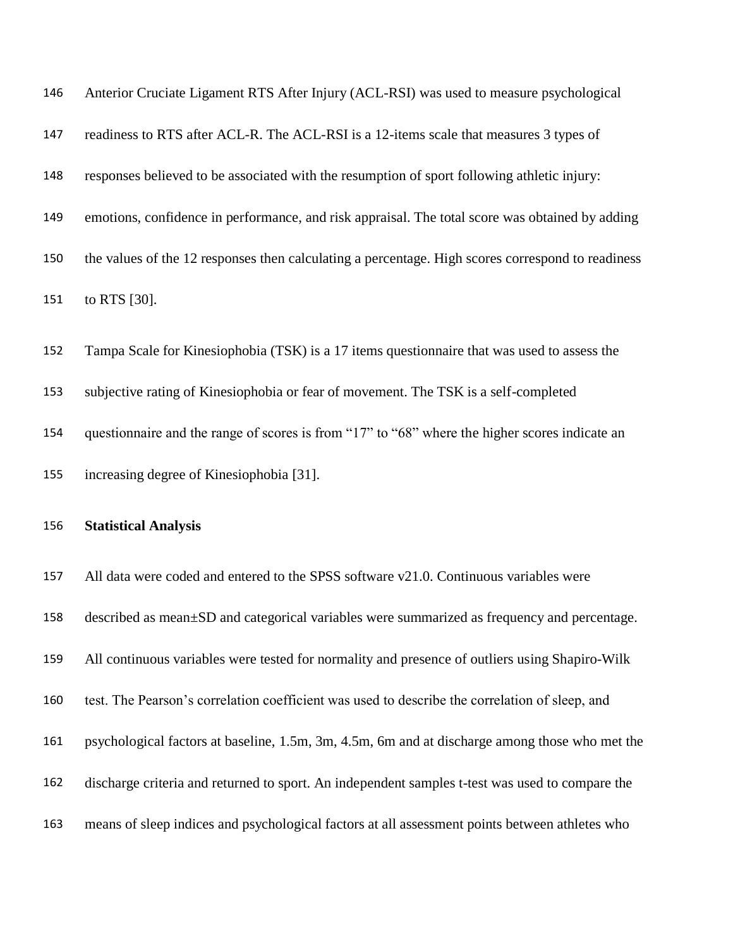| 146 | Anterior Cruciate Ligament RTS After Injury (ACL-RSI) was used to measure psychological           |
|-----|---------------------------------------------------------------------------------------------------|
| 147 | readiness to RTS after ACL-R. The ACL-RSI is a 12-items scale that measures 3 types of            |
| 148 | responses believed to be associated with the resumption of sport following athletic injury:       |
| 149 | emotions, confidence in performance, and risk appraisal. The total score was obtained by adding   |
| 150 | the values of the 12 responses then calculating a percentage. High scores correspond to readiness |
| 151 | to RTS [30].                                                                                      |
| 152 | Tampa Scale for Kinesiophobia (TSK) is a 17 items questionnaire that was used to assess the       |
| 153 | subjective rating of Kinesiophobia or fear of movement. The TSK is a self-completed               |
| 154 | questionnaire and the range of scores is from "17" to "68" where the higher scores indicate an    |
|     |                                                                                                   |
| 155 | increasing degree of Kinesiophobia [31].                                                          |
| 156 | <b>Statistical Analysis</b>                                                                       |
| 157 | All data were coded and entered to the SPSS software v21.0. Continuous variables were             |
| 158 | described as mean±SD and categorical variables were summarized as frequency and percentage.       |
| 159 | All continuous variables were tested for normality and presence of outliers using Shapiro-Wilk    |
| 160 | test. The Pearson's correlation coefficient was used to describe the correlation of sleep, and    |
| 161 | psychological factors at baseline, 1.5m, 3m, 4.5m, 6m and at discharge among those who met the    |
| 162 | discharge criteria and returned to sport. An independent samples t-test was used to compare the   |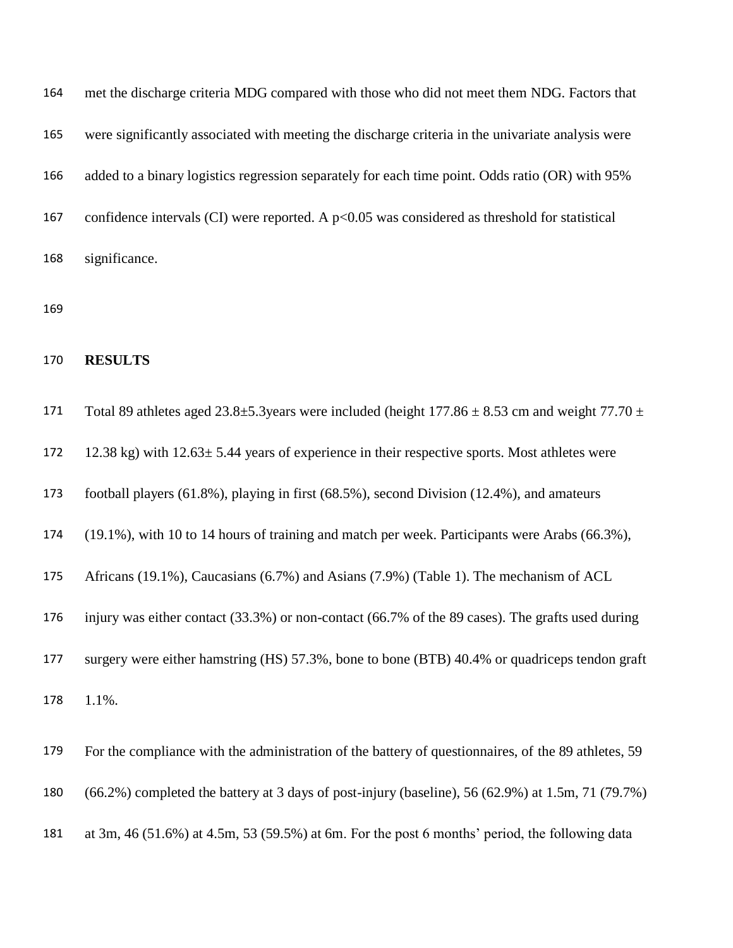| 164 | met the discharge criteria MDG compared with those who did not meet them NDG. Factors that        |
|-----|---------------------------------------------------------------------------------------------------|
| 165 | were significantly associated with meeting the discharge criteria in the univariate analysis were |
| 166 | added to a binary logistics regression separately for each time point. Odds ratio (OR) with 95%   |
| 167 | confidence intervals (CI) were reported. A $p<0.05$ was considered as threshold for statistical   |
| 168 | significance.                                                                                     |

### **RESULTS**

| 171 | Total 89 athletes aged 23.8 $\pm$ 5.3 years were included (height 177.86 $\pm$ 8.53 cm and weight 77.70 $\pm$ |
|-----|---------------------------------------------------------------------------------------------------------------|
| 172 | 12.38 kg) with $12.63 \pm 5.44$ years of experience in their respective sports. Most athletes were            |
| 173 | football players (61.8%), playing in first (68.5%), second Division (12.4%), and amateurs                     |
| 174 | (19.1%), with 10 to 14 hours of training and match per week. Participants were Arabs (66.3%),                 |
| 175 | Africans (19.1%), Caucasians (6.7%) and Asians (7.9%) (Table 1). The mechanism of ACL                         |
| 176 | injury was either contact (33.3%) or non-contact (66.7% of the 89 cases). The grafts used during              |
| 177 | surgery were either hamstring (HS) 57.3%, bone to bone (BTB) 40.4% or quadriceps tendon graft                 |
| 178 | 1.1%.                                                                                                         |
| 179 | For the compliance with the administration of the battery of questionnaires, of the 89 athletes, 59           |
| 180 | $(66.2\%)$ completed the battery at 3 days of post-injury (baseline), 56 (62.9%) at 1.5m, 71 (79.7%)          |
| 181 | at 3m, 46 (51.6%) at 4.5m, 53 (59.5%) at 6m. For the post 6 months' period, the following data                |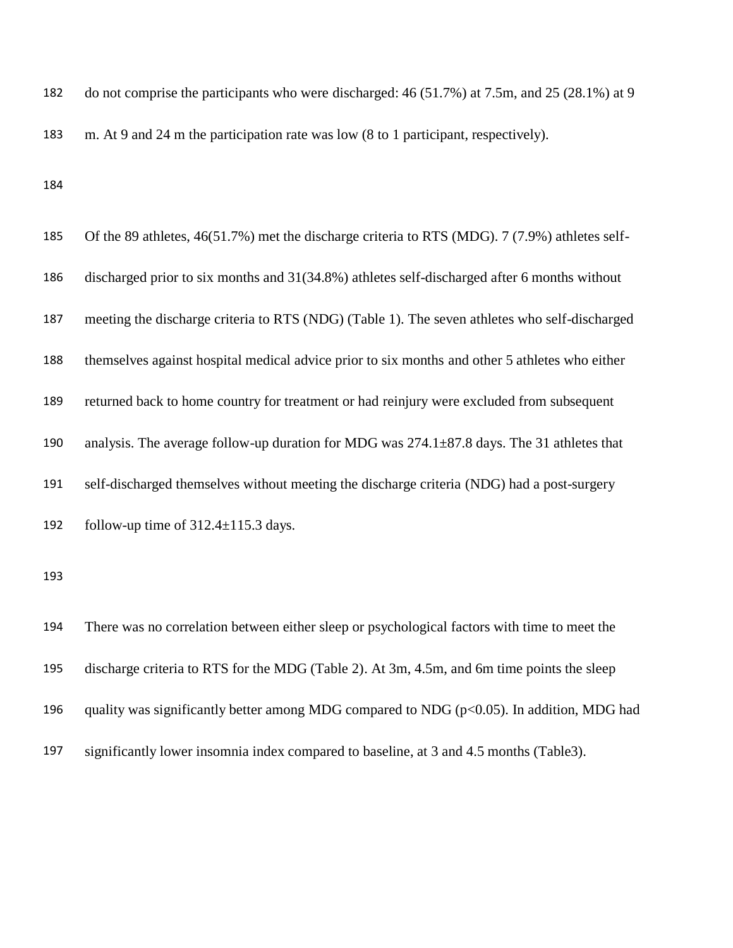do not comprise the participants who were discharged: 46 (51.7%) at 7.5m, and 25 (28.1%) at 9 m. At 9 and 24 m the participation rate was low (8 to 1 participant, respectively).

| 185 | Of the 89 athletes, 46(51.7%) met the discharge criteria to RTS (MDG). 7 (7.9%) athletes self-   |
|-----|--------------------------------------------------------------------------------------------------|
| 186 | discharged prior to six months and 31(34.8%) athletes self-discharged after 6 months without     |
| 187 | meeting the discharge criteria to RTS (NDG) (Table 1). The seven athletes who self-discharged    |
| 188 | themselves against hospital medical advice prior to six months and other 5 athletes who either   |
| 189 | returned back to home country for treatment or had reinjury were excluded from subsequent        |
| 190 | analysis. The average follow-up duration for MDG was $274.1 \pm 87.8$ days. The 31 athletes that |
| 191 | self-discharged themselves without meeting the discharge criteria (NDG) had a post-surgery       |
| 192 | follow-up time of $312.4 \pm 115.3$ days.                                                        |
| 193 |                                                                                                  |
| 194 | There was no correlation between either sleep or psychological factors with time to meet the     |
| 195 | discharge criteria to RTS for the MDG (Table 2). At 3m, 4.5m, and 6m time points the sleep       |
| 196 | quality was significantly better among MDG compared to NDG ( $p<0.05$ ). In addition, MDG had    |

significantly lower insomnia index compared to baseline, at 3 and 4.5 months (Table3).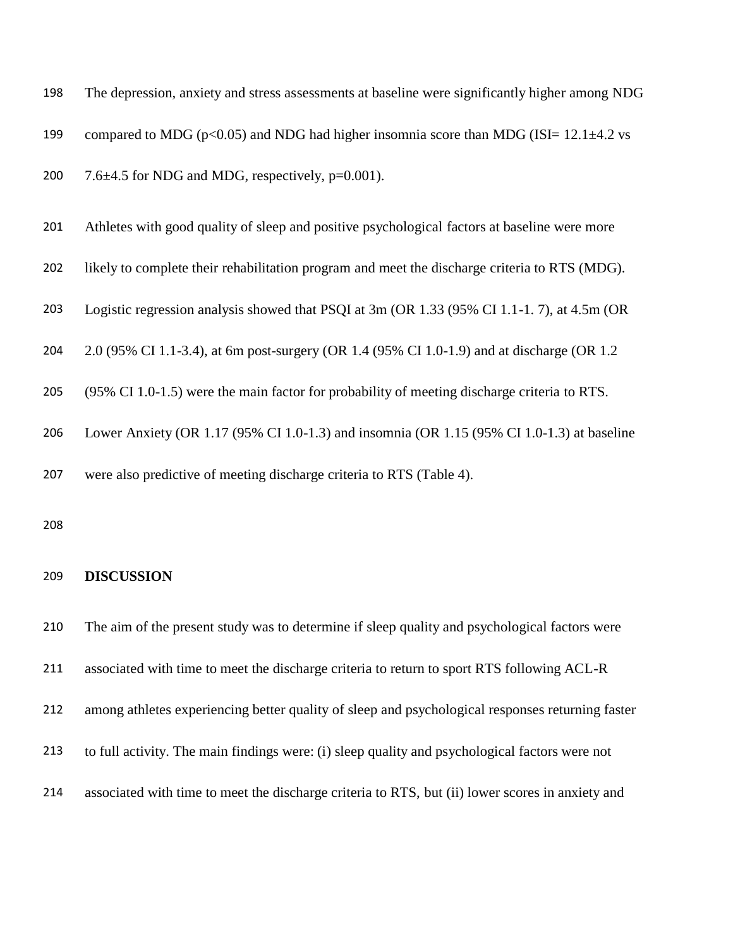| 198 | The depression, anxiety and stress assessments at baseline were significantly higher among NDG  |
|-----|-------------------------------------------------------------------------------------------------|
| 199 | compared to MDG ( $p<0.05$ ) and NDG had higher insomnia score than MDG (ISI= 12.1 $\pm$ 4.2 vs |
| 200 | 7.6 $\pm$ 4.5 for NDG and MDG, respectively, p=0.001).                                          |
| 201 | Athletes with good quality of sleep and positive psychological factors at baseline were more    |
| 202 | likely to complete their rehabilitation program and meet the discharge criteria to RTS (MDG).   |
| 203 | Logistic regression analysis showed that PSQI at 3m (OR 1.33 (95% CI 1.1-1.7), at 4.5m (OR      |
| 204 | 2.0 (95% CI 1.1-3.4), at 6m post-surgery (OR 1.4 (95% CI 1.0-1.9) and at discharge (OR 1.2)     |
| 205 | (95% CI 1.0-1.5) were the main factor for probability of meeting discharge criteria to RTS.     |
| 206 | Lower Anxiety (OR 1.17 (95% CI 1.0-1.3) and insomnia (OR 1.15 (95% CI 1.0-1.3) at baseline      |
| 207 | were also predictive of meeting discharge criteria to RTS (Table 4).                            |
| 208 |                                                                                                 |

### **DISCUSSION**

 The aim of the present study was to determine if sleep quality and psychological factors were associated with time to meet the discharge criteria to return to sport RTS following ACL-R among athletes experiencing better quality of sleep and psychological responses returning faster to full activity. The main findings were: (i) sleep quality and psychological factors were not associated with time to meet the discharge criteria to RTS, but (ii) lower scores in anxiety and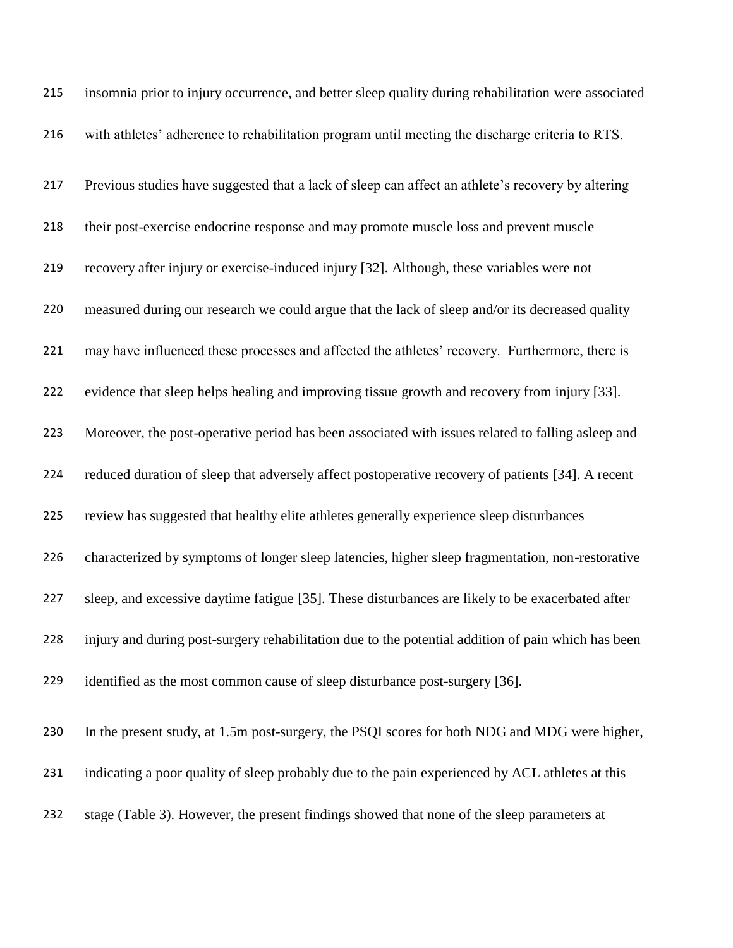| 215 | insomnia prior to injury occurrence, and better sleep quality during rehabilitation were associated |  |
|-----|-----------------------------------------------------------------------------------------------------|--|
| 216 | with athletes' adherence to rehabilitation program until meeting the discharge criteria to RTS.     |  |
| 217 | Previous studies have suggested that a lack of sleep can affect an athlete's recovery by altering   |  |
| 218 | their post-exercise endocrine response and may promote muscle loss and prevent muscle               |  |
| 219 | recovery after injury or exercise-induced injury [32]. Although, these variables were not           |  |
| 220 | measured during our research we could argue that the lack of sleep and/or its decreased quality     |  |
| 221 | may have influenced these processes and affected the athletes' recovery. Furthermore, there is      |  |
| 222 | evidence that sleep helps healing and improving tissue growth and recovery from injury [33].        |  |
| 223 | Moreover, the post-operative period has been associated with issues related to falling asleep and   |  |
| 224 | reduced duration of sleep that adversely affect postoperative recovery of patients [34]. A recent   |  |
| 225 | review has suggested that healthy elite athletes generally experience sleep disturbances            |  |
| 226 | characterized by symptoms of longer sleep latencies, higher sleep fragmentation, non-restorative    |  |
| 227 | sleep, and excessive daytime fatigue [35]. These disturbances are likely to be exacerbated after    |  |
| 228 | injury and during post-surgery rehabilitation due to the potential addition of pain which has been  |  |
| 229 | identified as the most common cause of sleep disturbance post-surgery [36].                         |  |
| 230 | In the present study, at 1.5m post-surgery, the PSQI scores for both NDG and MDG were higher,       |  |
| 231 | indicating a poor quality of sleep probably due to the pain experienced by ACL athletes at this     |  |
| 232 | stage (Table 3). However, the present findings showed that none of the sleep parameters at          |  |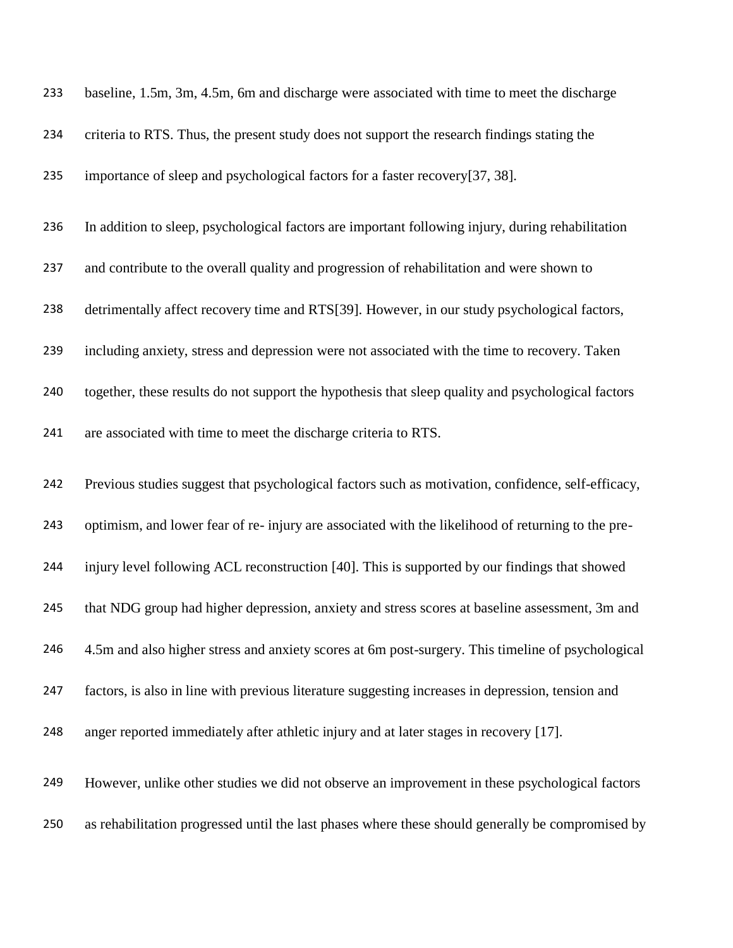| 233 | baseline, 1.5m, 3m, 4.5m, 6m and discharge were associated with time to meet the discharge         |
|-----|----------------------------------------------------------------------------------------------------|
| 234 | criteria to RTS. Thus, the present study does not support the research findings stating the        |
| 235 | importance of sleep and psychological factors for a faster recovery[37, 38].                       |
| 236 | In addition to sleep, psychological factors are important following injury, during rehabilitation  |
| 237 | and contribute to the overall quality and progression of rehabilitation and were shown to          |
| 238 | detrimentally affect recovery time and RTS[39]. However, in our study psychological factors,       |
| 239 | including anxiety, stress and depression were not associated with the time to recovery. Taken      |
| 240 | together, these results do not support the hypothesis that sleep quality and psychological factors |
| 241 | are associated with time to meet the discharge criteria to RTS.                                    |
| 242 | Previous studies suggest that psychological factors such as motivation, confidence, self-efficacy, |
| 243 | optimism, and lower fear of re-injury are associated with the likelihood of returning to the pre-  |
| 244 | injury level following ACL reconstruction [40]. This is supported by our findings that showed      |
| 245 | that NDG group had higher depression, anxiety and stress scores at baseline assessment, 3m and     |
| 246 | 4.5m and also higher stress and anxiety scores at 6m post-surgery. This timeline of psychological  |
| 247 | factors, is also in line with previous literature suggesting increases in depression, tension and  |
| 248 | anger reported immediately after athletic injury and at later stages in recovery [17].             |
| 249 | However, unlike other studies we did not observe an improvement in these psychological factors     |
| 250 | as rehabilitation progressed until the last phases where these should generally be compromised by  |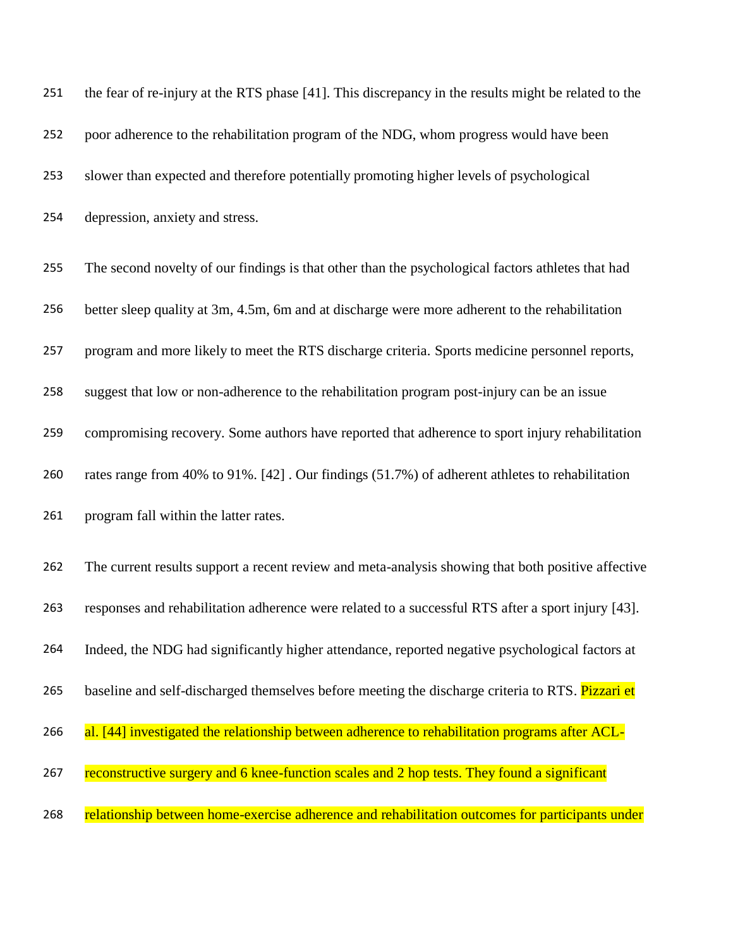| 251 | the fear of re-injury at the RTS phase [41]. This discrepancy in the results might be related to the |
|-----|------------------------------------------------------------------------------------------------------|
| 252 | poor adherence to the rehabilitation program of the NDG, whom progress would have been               |
| 253 | slower than expected and therefore potentially promoting higher levels of psychological              |
| 254 | depression, anxiety and stress.                                                                      |
| 255 | The second novelty of our findings is that other than the psychological factors athletes that had    |
| 256 | better sleep quality at 3m, 4.5m, 6m and at discharge were more adherent to the rehabilitation       |
| 257 | program and more likely to meet the RTS discharge criteria. Sports medicine personnel reports,       |
| 258 | suggest that low or non-adherence to the rehabilitation program post-injury can be an issue          |
| 259 | compromising recovery. Some authors have reported that adherence to sport injury rehabilitation      |
| 260 | rates range from 40% to 91%. [42]. Our findings (51.7%) of adherent athletes to rehabilitation       |
| 261 | program fall within the latter rates.                                                                |
| 262 | The current results support a recent review and meta-analysis showing that both positive affective   |
| 263 | responses and rehabilitation adherence were related to a successful RTS after a sport injury [43].   |
| 264 | Indeed, the NDG had significantly higher attendance, reported negative psychological factors at      |
| 265 | baseline and self-discharged themselves before meeting the discharge criteria to RTS. Pizzari et     |
| 266 | al. [44] investigated the relationship between adherence to rehabilitation programs after ACL-       |
| 267 | reconstructive surgery and 6 knee-function scales and 2 hop tests. They found a significant          |
| 268 | relationship between home-exercise adherence and rehabilitation outcomes for participants under      |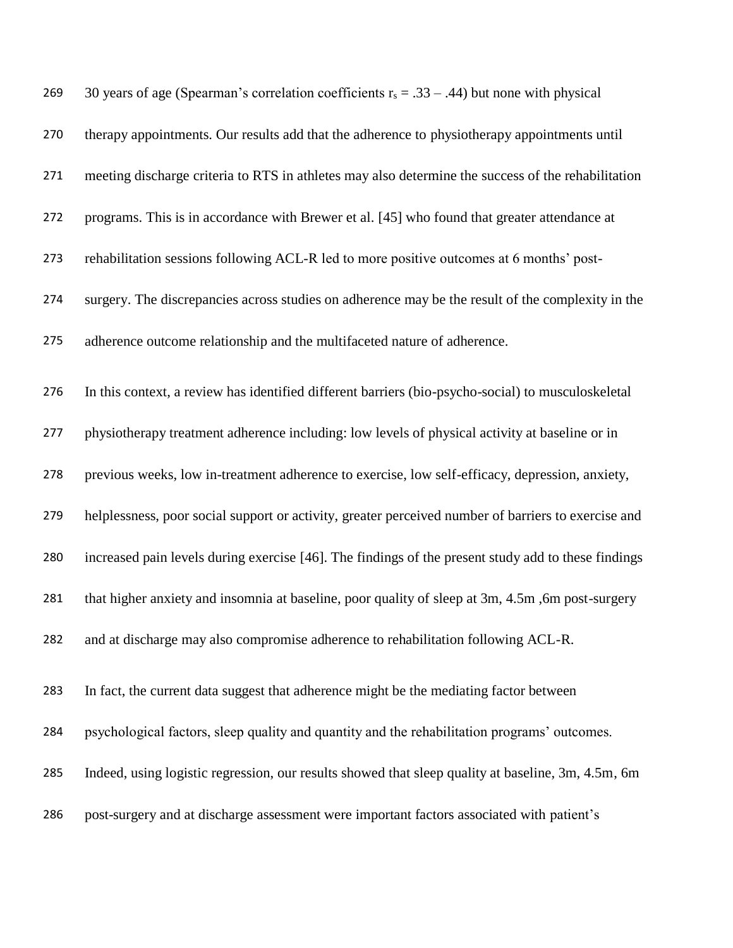| 269 | 30 years of age (Spearman's correlation coefficients $r_s = .33 - .44$ ) but none with physical     |
|-----|-----------------------------------------------------------------------------------------------------|
| 270 | therapy appointments. Our results add that the adherence to physiotherapy appointments until        |
| 271 | meeting discharge criteria to RTS in athletes may also determine the success of the rehabilitation  |
| 272 | programs. This is in accordance with Brewer et al. [45] who found that greater attendance at        |
| 273 | rehabilitation sessions following ACL-R led to more positive outcomes at 6 months' post-            |
| 274 | surgery. The discrepancies across studies on adherence may be the result of the complexity in the   |
| 275 | adherence outcome relationship and the multifaceted nature of adherence.                            |
| 276 | In this context, a review has identified different barriers (bio-psycho-social) to musculoskeletal  |
| 277 | physiotherapy treatment adherence including: low levels of physical activity at baseline or in      |
| 278 | previous weeks, low in-treatment adherence to exercise, low self-efficacy, depression, anxiety,     |
| 279 | helplessness, poor social support or activity, greater perceived number of barriers to exercise and |
| 280 | increased pain levels during exercise [46]. The findings of the present study add to these findings |
| 281 | that higher anxiety and insomnia at baseline, poor quality of sleep at 3m, 4.5m, 6m post-surgery    |
| 282 | and at discharge may also compromise adherence to rehabilitation following ACL-R.                   |
| 283 | In fact, the current data suggest that adherence might be the mediating factor between              |
| 284 | psychological factors, sleep quality and quantity and the rehabilitation programs' outcomes.        |
| 285 | Indeed, using logistic regression, our results showed that sleep quality at baseline, 3m, 4.5m, 6m  |
| 286 | post-surgery and at discharge assessment were important factors associated with patient's           |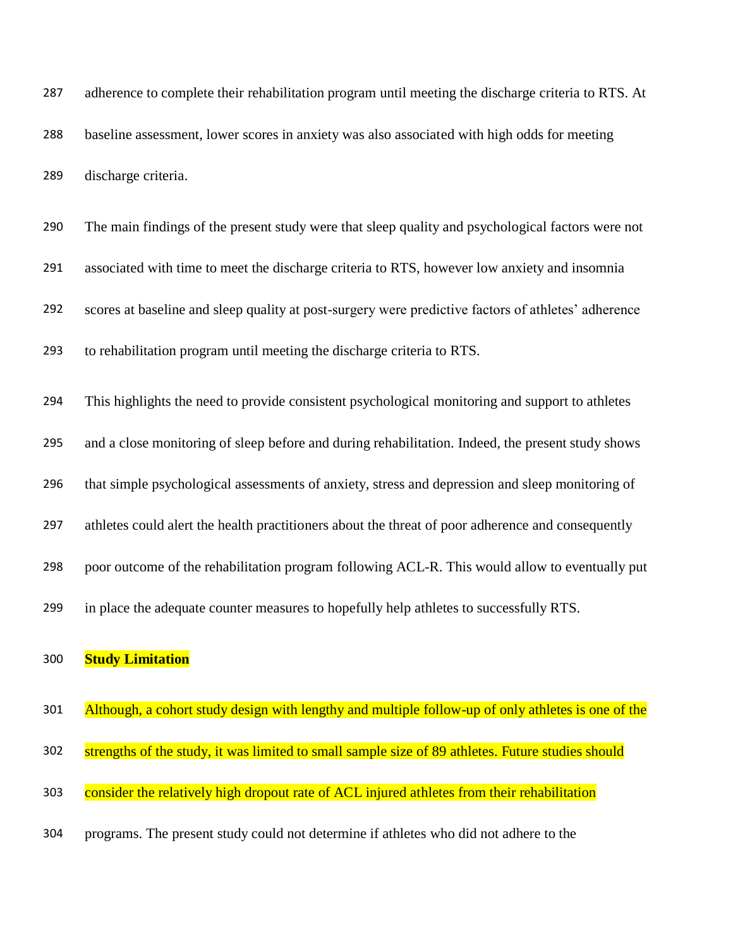adherence to complete their rehabilitation program until meeting the discharge criteria to RTS. At baseline assessment, lower scores in anxiety was also associated with high odds for meeting discharge criteria.

| 290 | The main findings of the present study were that sleep quality and psychological factors were not   |  |
|-----|-----------------------------------------------------------------------------------------------------|--|
| 291 | associated with time to meet the discharge criteria to RTS, however low anxiety and insomnia        |  |
| 292 | scores at baseline and sleep quality at post-surgery were predictive factors of athletes' adherence |  |
| 293 | to rehabilitation program until meeting the discharge criteria to RTS.                              |  |
| 294 | This highlights the need to provide consistent psychological monitoring and support to athletes     |  |
| 295 | and a close monitoring of sleep before and during rehabilitation. Indeed, the present study shows   |  |
| 296 | that simple psychological assessments of anxiety, stress and depression and sleep monitoring of     |  |

- athletes could alert the health practitioners about the threat of poor adherence and consequently
- poor outcome of the rehabilitation program following ACL-R. This would allow to eventually put
- in place the adequate counter measures to hopefully help athletes to successfully RTS.

### **Study Limitation**

301 Although, a cohort study design with lengthy and multiple follow-up of only athletes is one of the 302 strengths of the study, it was limited to small sample size of 89 athletes. Future studies should 303 consider the relatively high dropout rate of ACL injured athletes from their rehabilitation programs. The present study could not determine if athletes who did not adhere to the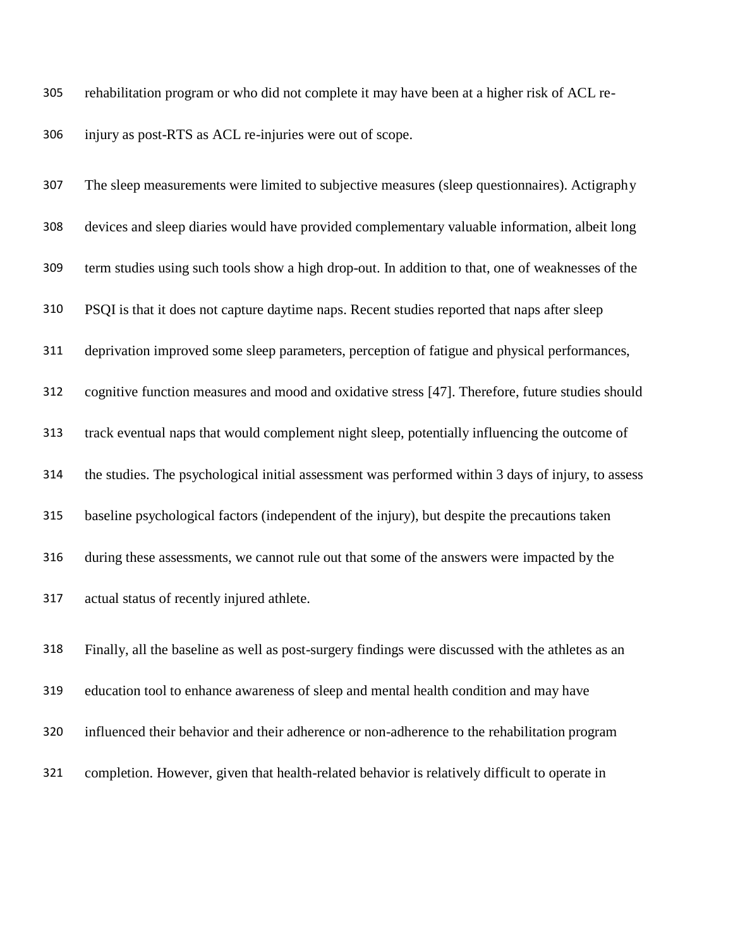rehabilitation program or who did not complete it may have been at a higher risk of ACL re-

injury as post-RTS as ACL re-injuries were out of scope.

 The sleep measurements were limited to subjective measures (sleep questionnaires). Actigraphy devices and sleep diaries would have provided complementary valuable information, albeit long term studies using such tools show a high drop-out. In addition to that, one of weaknesses of the PSQI is that it does not capture daytime naps. Recent studies reported that naps after sleep deprivation improved some sleep parameters, perception of fatigue and physical performances, cognitive function measures and mood and oxidative stress [47]. Therefore, future studies should track eventual naps that would complement night sleep, potentially influencing the outcome of the studies. The psychological initial assessment was performed within 3 days of injury, to assess baseline psychological factors (independent of the injury), but despite the precautions taken during these assessments, we cannot rule out that some of the answers were impacted by the actual status of recently injured athlete.

 Finally, all the baseline as well as post-surgery findings were discussed with the athletes as an education tool to enhance awareness of sleep and mental health condition and may have influenced their behavior and their adherence or non-adherence to the rehabilitation program completion. However, given that health-related behavior is relatively difficult to operate in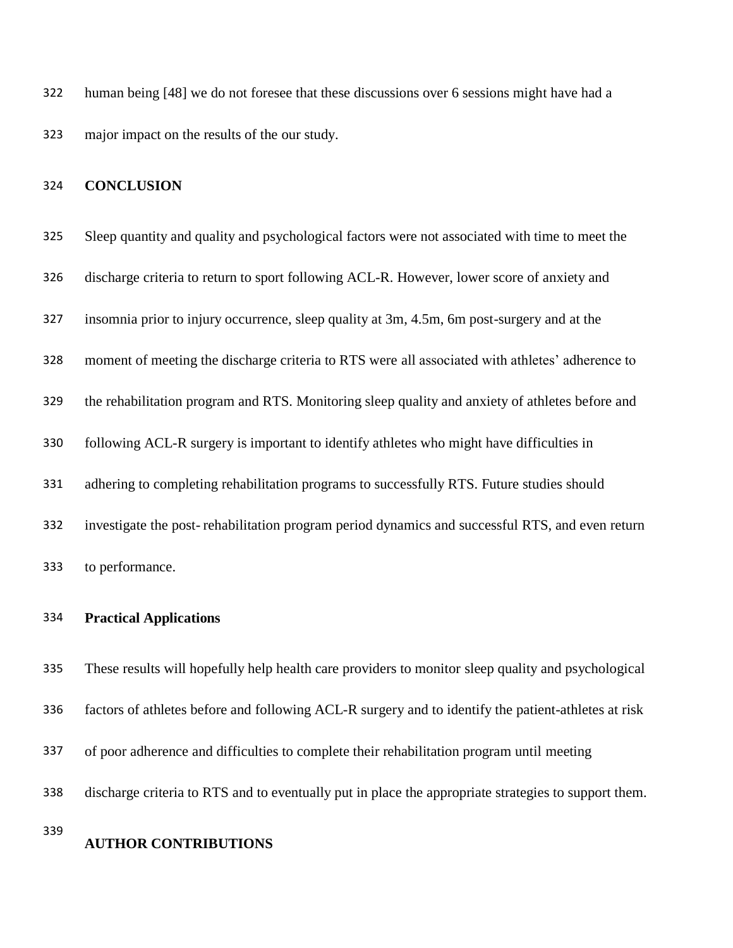human being [48] we do not foresee that these discussions over 6 sessions might have had a major impact on the results of the our study.

### **CONCLUSION**

| 325 | Sleep quantity and quality and psychological factors were not associated with time to meet the  |  |
|-----|-------------------------------------------------------------------------------------------------|--|
| 326 | discharge criteria to return to sport following ACL-R. However, lower score of anxiety and      |  |
| 327 | insomnia prior to injury occurrence, sleep quality at 3m, 4.5m, 6m post-surgery and at the      |  |
| 328 | moment of meeting the discharge criteria to RTS were all associated with athletes' adherence to |  |
| 329 | the rehabilitation program and RTS. Monitoring sleep quality and anxiety of athletes before and |  |
| 330 | following ACL-R surgery is important to identify athletes who might have difficulties in        |  |
| 331 | adhering to completing rehabilitation programs to successfully RTS. Future studies should       |  |
| 332 | investigate the post-rehabilitation program period dynamics and successful RTS, and even return |  |
| 333 | to performance.                                                                                 |  |

### **Practical Applications**

 These results will hopefully help health care providers to monitor sleep quality and psychological factors of athletes before and following ACL-R surgery and to identify the patient-athletes at risk of poor adherence and difficulties to complete their rehabilitation program until meeting discharge criteria to RTS and to eventually put in place the appropriate strategies to support them.

### **AUTHOR CONTRIBUTIONS**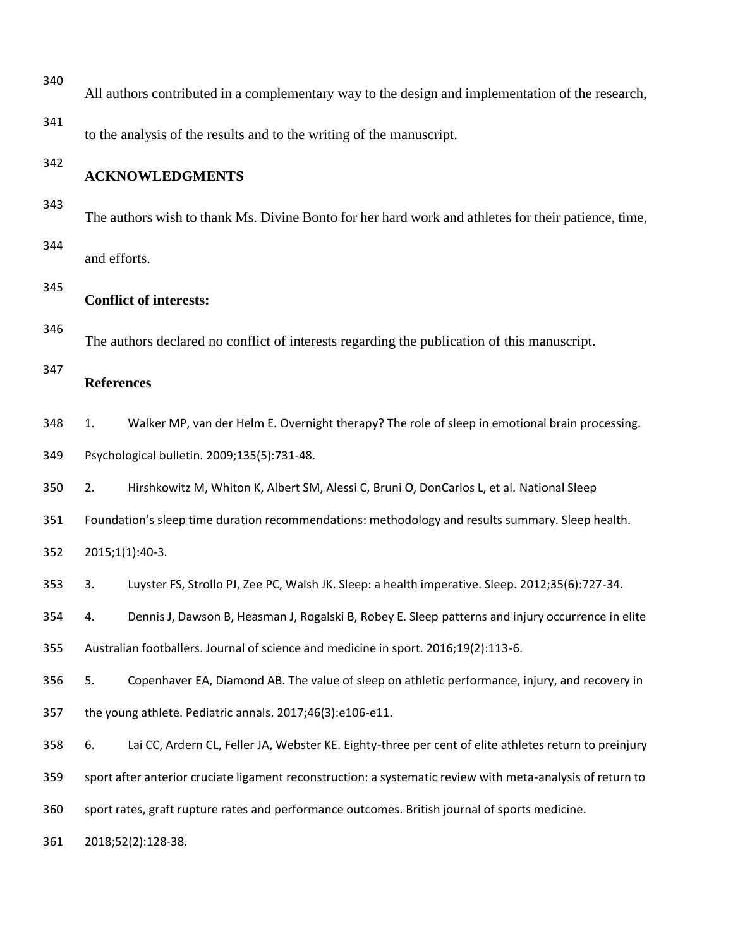| 340 | All authors contributed in a complementary way to the design and implementation of the research,           |                                                                                                       |  |  |
|-----|------------------------------------------------------------------------------------------------------------|-------------------------------------------------------------------------------------------------------|--|--|
| 341 | to the analysis of the results and to the writing of the manuscript.                                       |                                                                                                       |  |  |
| 342 | <b>ACKNOWLEDGMENTS</b>                                                                                     |                                                                                                       |  |  |
| 343 | The authors wish to thank Ms. Divine Bonto for her hard work and athletes for their patience, time,        |                                                                                                       |  |  |
| 344 | and efforts.                                                                                               |                                                                                                       |  |  |
| 345 | <b>Conflict of interests:</b>                                                                              |                                                                                                       |  |  |
| 346 | The authors declared no conflict of interests regarding the publication of this manuscript.                |                                                                                                       |  |  |
| 347 | <b>References</b>                                                                                          |                                                                                                       |  |  |
| 348 | 1.                                                                                                         | Walker MP, van der Helm E. Overnight therapy? The role of sleep in emotional brain processing.        |  |  |
| 349 | Psychological bulletin. 2009;135(5):731-48.                                                                |                                                                                                       |  |  |
| 350 | 2.                                                                                                         | Hirshkowitz M, Whiton K, Albert SM, Alessi C, Bruni O, DonCarlos L, et al. National Sleep             |  |  |
| 351 | Foundation's sleep time duration recommendations: methodology and results summary. Sleep health.           |                                                                                                       |  |  |
| 352 | 2015;1(1):40-3.                                                                                            |                                                                                                       |  |  |
| 353 | 3.                                                                                                         | Luyster FS, Strollo PJ, Zee PC, Walsh JK. Sleep: a health imperative. Sleep. 2012;35(6):727-34.       |  |  |
| 354 | 4.                                                                                                         | Dennis J, Dawson B, Heasman J, Rogalski B, Robey E. Sleep patterns and injury occurrence in elite     |  |  |
| 355 | Australian footballers. Journal of science and medicine in sport. 2016;19(2):113-6.                        |                                                                                                       |  |  |
| 356 | 5.                                                                                                         | Copenhaver EA, Diamond AB. The value of sleep on athletic performance, injury, and recovery in        |  |  |
| 357 | the young athlete. Pediatric annals. 2017;46(3):e106-e11.                                                  |                                                                                                       |  |  |
| 358 | 6.                                                                                                         | Lai CC, Ardern CL, Feller JA, Webster KE. Eighty-three per cent of elite athletes return to preinjury |  |  |
| 359 | sport after anterior cruciate ligament reconstruction: a systematic review with meta-analysis of return to |                                                                                                       |  |  |
| 360 | sport rates, graft rupture rates and performance outcomes. British journal of sports medicine.             |                                                                                                       |  |  |
| 361 | 2018;52(2):128-38.                                                                                         |                                                                                                       |  |  |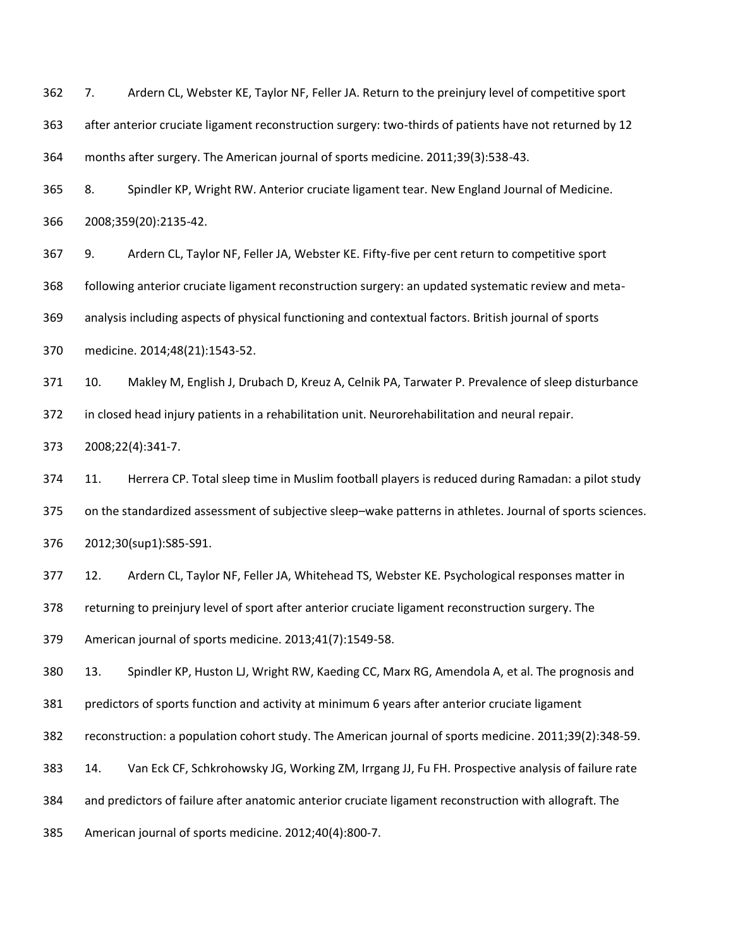7. Ardern CL, Webster KE, Taylor NF, Feller JA. Return to the preinjury level of competitive sport

after anterior cruciate ligament reconstruction surgery: two-thirds of patients have not returned by 12

months after surgery. The American journal of sports medicine. 2011;39(3):538-43.

 8. Spindler KP, Wright RW. Anterior cruciate ligament tear. New England Journal of Medicine. 2008;359(20):2135-42.

 9. Ardern CL, Taylor NF, Feller JA, Webster KE. Fifty-five per cent return to competitive sport following anterior cruciate ligament reconstruction surgery: an updated systematic review and meta- analysis including aspects of physical functioning and contextual factors. British journal of sports medicine. 2014;48(21):1543-52.

 10. Makley M, English J, Drubach D, Kreuz A, Celnik PA, Tarwater P. Prevalence of sleep disturbance in closed head injury patients in a rehabilitation unit. Neurorehabilitation and neural repair.

2008;22(4):341-7.

 11. Herrera CP. Total sleep time in Muslim football players is reduced during Ramadan: a pilot study on the standardized assessment of subjective sleep–wake patterns in athletes. Journal of sports sciences. 2012;30(sup1):S85-S91.

12. Ardern CL, Taylor NF, Feller JA, Whitehead TS, Webster KE. Psychological responses matter in

returning to preinjury level of sport after anterior cruciate ligament reconstruction surgery. The

American journal of sports medicine. 2013;41(7):1549-58.

13. Spindler KP, Huston LJ, Wright RW, Kaeding CC, Marx RG, Amendola A, et al. The prognosis and

predictors of sports function and activity at minimum 6 years after anterior cruciate ligament

reconstruction: a population cohort study. The American journal of sports medicine. 2011;39(2):348-59.

14. Van Eck CF, Schkrohowsky JG, Working ZM, Irrgang JJ, Fu FH. Prospective analysis of failure rate

and predictors of failure after anatomic anterior cruciate ligament reconstruction with allograft. The

American journal of sports medicine. 2012;40(4):800-7.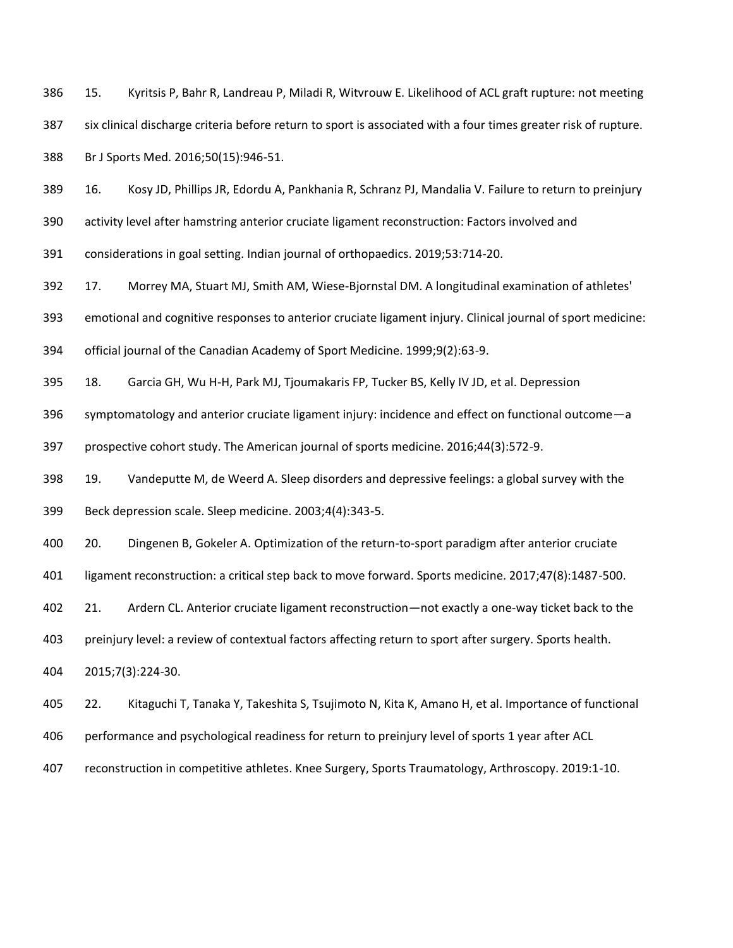15. Kyritsis P, Bahr R, Landreau P, Miladi R, Witvrouw E. Likelihood of ACL graft rupture: not meeting six clinical discharge criteria before return to sport is associated with a four times greater risk of rupture. Br J Sports Med. 2016;50(15):946-51.

16. Kosy JD, Phillips JR, Edordu A, Pankhania R, Schranz PJ, Mandalia V. Failure to return to preinjury

activity level after hamstring anterior cruciate ligament reconstruction: Factors involved and

considerations in goal setting. Indian journal of orthopaedics. 2019;53:714-20.

17. Morrey MA, Stuart MJ, Smith AM, Wiese-Bjornstal DM. A longitudinal examination of athletes'

emotional and cognitive responses to anterior cruciate ligament injury. Clinical journal of sport medicine:

official journal of the Canadian Academy of Sport Medicine. 1999;9(2):63-9.

18. Garcia GH, Wu H-H, Park MJ, Tjoumakaris FP, Tucker BS, Kelly IV JD, et al. Depression

symptomatology and anterior cruciate ligament injury: incidence and effect on functional outcome—a

prospective cohort study. The American journal of sports medicine. 2016;44(3):572-9.

19. Vandeputte M, de Weerd A. Sleep disorders and depressive feelings: a global survey with the

Beck depression scale. Sleep medicine. 2003;4(4):343-5.

20. Dingenen B, Gokeler A. Optimization of the return-to-sport paradigm after anterior cruciate

ligament reconstruction: a critical step back to move forward. Sports medicine. 2017;47(8):1487-500.

21. Ardern CL. Anterior cruciate ligament reconstruction—not exactly a one-way ticket back to the

preinjury level: a review of contextual factors affecting return to sport after surgery. Sports health.

2015;7(3):224-30.

22. Kitaguchi T, Tanaka Y, Takeshita S, Tsujimoto N, Kita K, Amano H, et al. Importance of functional

performance and psychological readiness for return to preinjury level of sports 1 year after ACL

reconstruction in competitive athletes. Knee Surgery, Sports Traumatology, Arthroscopy. 2019:1-10.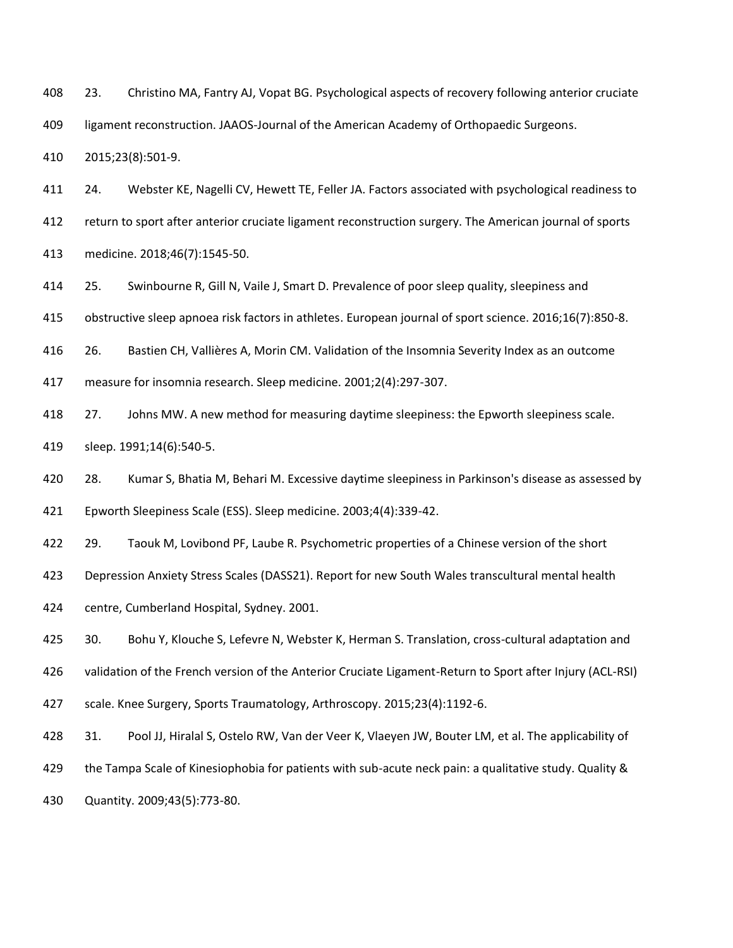23. Christino MA, Fantry AJ, Vopat BG. Psychological aspects of recovery following anterior cruciate

ligament reconstruction. JAAOS-Journal of the American Academy of Orthopaedic Surgeons.

2015;23(8):501-9.

24. Webster KE, Nagelli CV, Hewett TE, Feller JA. Factors associated with psychological readiness to

return to sport after anterior cruciate ligament reconstruction surgery. The American journal of sports

medicine. 2018;46(7):1545-50.

25. Swinbourne R, Gill N, Vaile J, Smart D. Prevalence of poor sleep quality, sleepiness and

obstructive sleep apnoea risk factors in athletes. European journal of sport science. 2016;16(7):850-8.

26. Bastien CH, Vallières A, Morin CM. Validation of the Insomnia Severity Index as an outcome

measure for insomnia research. Sleep medicine. 2001;2(4):297-307.

418 27. Johns MW. A new method for measuring daytime sleepiness: the Epworth sleepiness scale.

sleep. 1991;14(6):540-5.

28. Kumar S, Bhatia M, Behari M. Excessive daytime sleepiness in Parkinson's disease as assessed by

Epworth Sleepiness Scale (ESS). Sleep medicine. 2003;4(4):339-42.

29. Taouk M, Lovibond PF, Laube R. Psychometric properties of a Chinese version of the short

Depression Anxiety Stress Scales (DASS21). Report for new South Wales transcultural mental health

centre, Cumberland Hospital, Sydney. 2001.

30. Bohu Y, Klouche S, Lefevre N, Webster K, Herman S. Translation, cross-cultural adaptation and

validation of the French version of the Anterior Cruciate Ligament-Return to Sport after Injury (ACL-RSI)

scale. Knee Surgery, Sports Traumatology, Arthroscopy. 2015;23(4):1192-6.

31. Pool JJ, Hiralal S, Ostelo RW, Van der Veer K, Vlaeyen JW, Bouter LM, et al. The applicability of

the Tampa Scale of Kinesiophobia for patients with sub-acute neck pain: a qualitative study. Quality &

Quantity. 2009;43(5):773-80.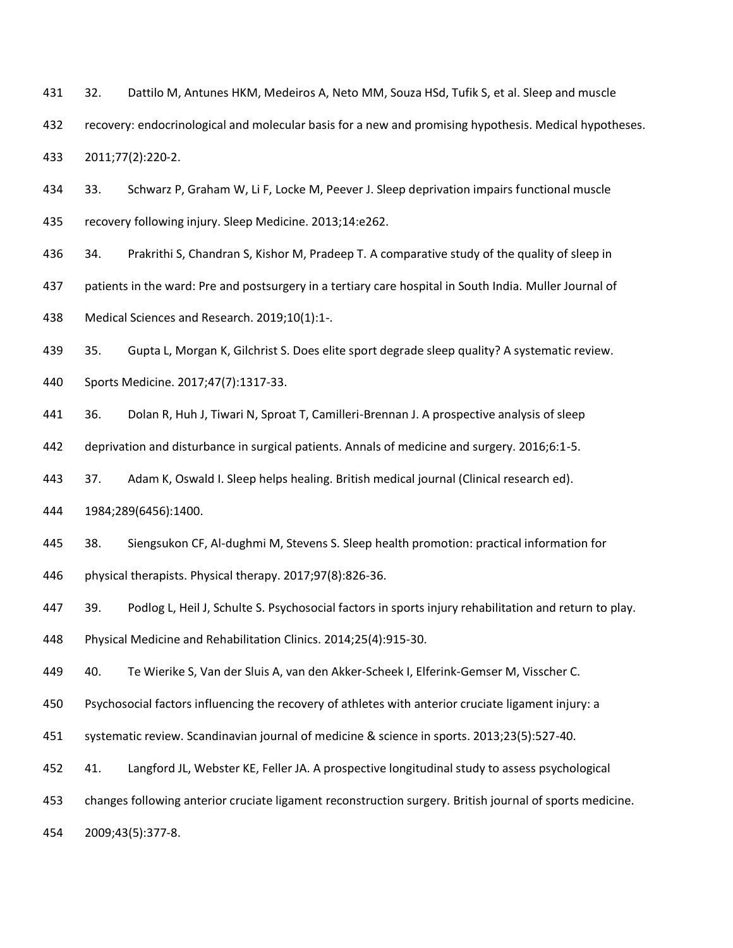32. Dattilo M, Antunes HKM, Medeiros A, Neto MM, Souza HSd, Tufik S, et al. Sleep and muscle recovery: endocrinological and molecular basis for a new and promising hypothesis. Medical hypotheses.

2011;77(2):220-2.

 33. Schwarz P, Graham W, Li F, Locke M, Peever J. Sleep deprivation impairs functional muscle recovery following injury. Sleep Medicine. 2013;14:e262.

34. Prakrithi S, Chandran S, Kishor M, Pradeep T. A comparative study of the quality of sleep in

patients in the ward: Pre and postsurgery in a tertiary care hospital in South India. Muller Journal of

Medical Sciences and Research. 2019;10(1):1-.

35. Gupta L, Morgan K, Gilchrist S. Does elite sport degrade sleep quality? A systematic review.

Sports Medicine. 2017;47(7):1317-33.

36. Dolan R, Huh J, Tiwari N, Sproat T, Camilleri-Brennan J. A prospective analysis of sleep

deprivation and disturbance in surgical patients. Annals of medicine and surgery. 2016;6:1-5.

37. Adam K, Oswald I. Sleep helps healing. British medical journal (Clinical research ed).

1984;289(6456):1400.

38. Siengsukon CF, Al-dughmi M, Stevens S. Sleep health promotion: practical information for

physical therapists. Physical therapy. 2017;97(8):826-36.

39. Podlog L, Heil J, Schulte S. Psychosocial factors in sports injury rehabilitation and return to play.

Physical Medicine and Rehabilitation Clinics. 2014;25(4):915-30.

40. Te Wierike S, Van der Sluis A, van den Akker‐Scheek I, Elferink‐Gemser M, Visscher C.

Psychosocial factors influencing the recovery of athletes with anterior cruciate ligament injury: a

systematic review. Scandinavian journal of medicine & science in sports. 2013;23(5):527-40.

41. Langford JL, Webster KE, Feller JA. A prospective longitudinal study to assess psychological

changes following anterior cruciate ligament reconstruction surgery. British journal of sports medicine.

2009;43(5):377-8.